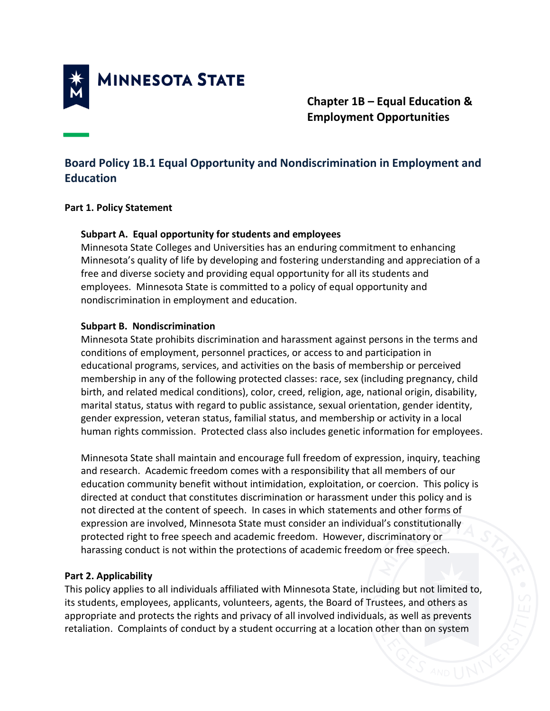

**Chapter 1B – Equal Education & Employment Opportunities** 

# **Board Policy 1B.1 Equal Opportunity and Nondiscrimination in Employment and Education**

#### **Part 1. Policy Statement**

## **Subpart A. Equal opportunity for students and employees**

Minnesota State Colleges and Universities has an enduring commitment to enhancing Minnesota's quality of life by developing and fostering understanding and appreciation of a free and diverse society and providing equal opportunity for all its students and employees. Minnesota State is committed to a policy of equal opportunity and nondiscrimination in employment and education.

## **Subpart B. Nondiscrimination**

Minnesota State prohibits discrimination and harassment against persons in the terms and conditions of employment, personnel practices, or access to and participation in educational programs, services, and activities on the basis of membership or perceived membership in any of the following protected classes: race, sex (including pregnancy, child birth, and related medical conditions), color, creed, religion, age, national origin, disability, marital status, status with regard to public assistance, sexual orientation, gender identity, gender expression, veteran status, familial status, and membership or activity in a local human rights commission. Protected class also includes genetic information for employees.

Minnesota State shall maintain and encourage full freedom of expression, inquiry, teaching and research. Academic freedom comes with a responsibility that all members of our education community benefit without intimidation, exploitation, or coercion. This policy is directed at conduct that constitutes discrimination or harassment under this policy and is not directed at the content of speech. In cases in which statements and other forms of expression are involved, Minnesota State must consider an individual's constitutionally protected right to free speech and academic freedom. However, discriminatory or harassing conduct is not within the protections of academic freedom or free speech.

# **Part 2. Applicability**

This policy applies to all individuals affiliated with Minnesota State, including but not limited to, its students, employees, applicants, volunteers, agents, the Board of Trustees, and others as appropriate and protects the rights and privacy of all involved individuals, as well as prevents retaliation. Complaints of conduct by a student occurring at a location other than on system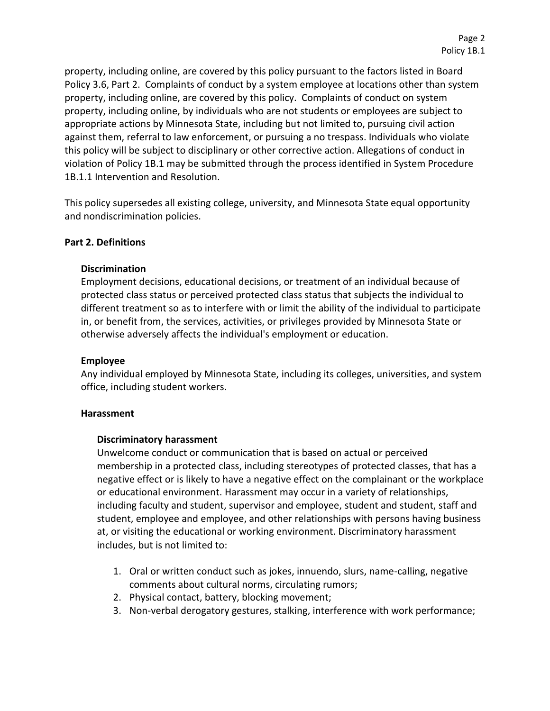property, including online, are covered by this policy pursuant to the factors listed in Board Policy 3.6, Part 2. Complaints of conduct by a system employee at locations other than system property, including online, are covered by this policy. Complaints of conduct on system property, including online, by individuals who are not students or employees are subject to appropriate actions by Minnesota State, including but not limited to, pursuing civil action against them, referral to law enforcement, or pursuing a no trespass. Individuals who violate this policy will be subject to disciplinary or other corrective action. Allegations of conduct in violation of Policy 1B.1 may be submitted through the process identified in System Procedure 1B.1.1 Intervention and Resolution.

This policy supersedes all existing college, university, and Minnesota State equal opportunity and nondiscrimination policies.

#### **Part 2. Definitions**

#### **Discrimination**

Employment decisions, educational decisions, or treatment of an individual because of protected class status or perceived protected class status that subjects the individual to different treatment so as to interfere with or limit the ability of the individual to participate in, or benefit from, the services, activities, or privileges provided by Minnesota State or otherwise adversely affects the individual's employment or education.

#### **Employee**

Any individual employed by Minnesota State, including its colleges, universities, and system office, including student workers.

#### **Harassment**

#### **Discriminatory harassment**

Unwelcome conduct or communication that is based on actual or perceived membership in a protected class, including stereotypes of protected classes, that has a negative effect or is likely to have a negative effect on the complainant or the workplace or educational environment. Harassment may occur in a variety of relationships, including faculty and student, supervisor and employee, student and student, staff and student, employee and employee, and other relationships with persons having business at, or visiting the educational or working environment. Discriminatory harassment includes, but is not limited to:

- 1. Oral or written conduct such as jokes, innuendo, slurs, name-calling, negative comments about cultural norms, circulating rumors;
- 2. Physical contact, battery, blocking movement;
- 3. Non-verbal derogatory gestures, stalking, interference with work performance;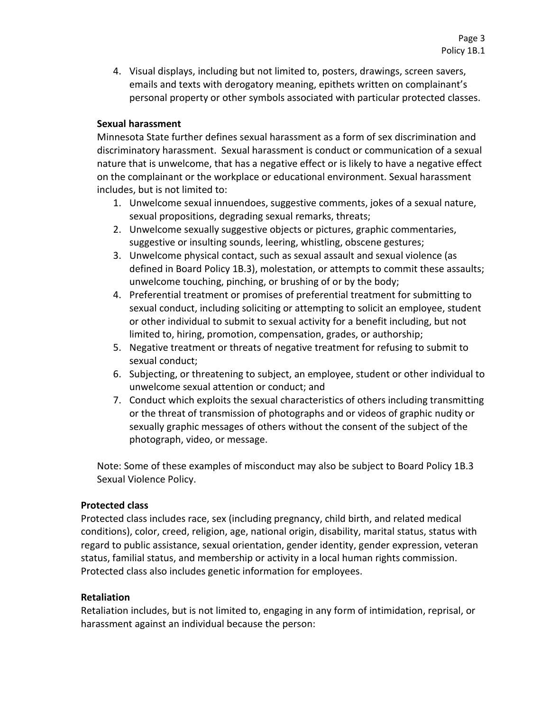4. Visual displays, including but not limited to, posters, drawings, screen savers, emails and texts with derogatory meaning, epithets written on complainant's personal property or other symbols associated with particular protected classes.

## **Sexual harassment**

Minnesota State further defines sexual harassment as a form of sex discrimination and discriminatory harassment. Sexual harassment is conduct or communication of a sexual nature that is unwelcome, that has a negative effect or is likely to have a negative effect on the complainant or the workplace or educational environment. Sexual harassment includes, but is not limited to:

- 1. Unwelcome sexual innuendoes, suggestive comments, jokes of a sexual nature, sexual propositions, degrading sexual remarks, threats;
- 2. Unwelcome sexually suggestive objects or pictures, graphic commentaries, suggestive or insulting sounds, leering, whistling, obscene gestures;
- 3. Unwelcome physical contact, such as sexual assault and sexual violence (as defined in Board Policy 1B.3), molestation, or attempts to commit these assaults; unwelcome touching, pinching, or brushing of or by the body;
- 4. Preferential treatment or promises of preferential treatment for submitting to sexual conduct, including soliciting or attempting to solicit an employee, student or other individual to submit to sexual activity for a benefit including, but not limited to, hiring, promotion, compensation, grades, or authorship;
- 5. Negative treatment or threats of negative treatment for refusing to submit to sexual conduct;
- 6. Subjecting, or threatening to subject, an employee, student or other individual to unwelcome sexual attention or conduct; and
- 7. Conduct which exploits the sexual characteristics of others including transmitting or the threat of transmission of photographs and or videos of graphic nudity or sexually graphic messages of others without the consent of the subject of the photograph, video, or message.

Note: Some of these examples of misconduct may also be subject to Board Policy 1B.3 Sexual Violence Policy.

#### **Protected class**

Protected class includes race, sex (including pregnancy, child birth, and related medical conditions), color, creed, religion, age, national origin, disability, marital status, status with regard to public assistance, sexual orientation, gender identity, gender expression, veteran status, familial status, and membership or activity in a local human rights commission. Protected class also includes genetic information for employees.

#### **Retaliation**

Retaliation includes, but is not limited to, engaging in any form of intimidation, reprisal, or harassment against an individual because the person: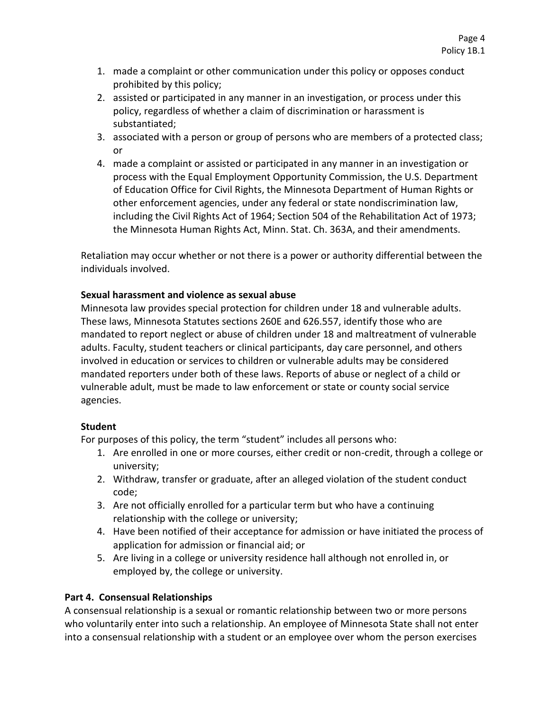- 1. made a complaint or other communication under this policy or opposes conduct prohibited by this policy;
- 2. assisted or participated in any manner in an investigation, or process under this policy, regardless of whether a claim of discrimination or harassment is substantiated;
- 3. associated with a person or group of persons who are members of a protected class; or
- 4. made a complaint or assisted or participated in any manner in an investigation or process with the Equal Employment Opportunity Commission, the U.S. Department of Education Office for Civil Rights, the Minnesota Department of Human Rights or other enforcement agencies, under any federal or state nondiscrimination law, including the Civil Rights Act of 1964; Section 504 of the Rehabilitation Act of 1973; the Minnesota Human Rights Act, Minn. Stat. Ch. 363A, and their amendments.

Retaliation may occur whether or not there is a power or authority differential between the individuals involved.

# **Sexual harassment and violence as sexual abuse**

Minnesota law provides special protection for children under 18 and vulnerable adults. These laws, Minnesota Statutes sections 260E and 626.557, identify those who are mandated to report neglect or abuse of children under 18 and maltreatment of vulnerable adults. Faculty, student teachers or clinical participants, day care personnel, and others involved in education or services to children or vulnerable adults may be considered mandated reporters under both of these laws. Reports of abuse or neglect of a child or vulnerable adult, must be made to law enforcement or state or county social service agencies.

# **Student**

For purposes of this policy, the term "student" includes all persons who:

- 1. Are enrolled in one or more courses, either credit or non-credit, through a college or university;
- 2. Withdraw, transfer or graduate, after an alleged violation of the student conduct code;
- 3. Are not officially enrolled for a particular term but who have a continuing relationship with the college or university;
- 4. Have been notified of their acceptance for admission or have initiated the process of application for admission or financial aid; or
- 5. Are living in a college or university residence hall although not enrolled in, or employed by, the college or university.

# **Part 4. Consensual Relationships**

A consensual relationship is a sexual or romantic relationship between two or more persons who voluntarily enter into such a relationship. An employee of Minnesota State shall not enter into a consensual relationship with a student or an employee over whom the person exercises